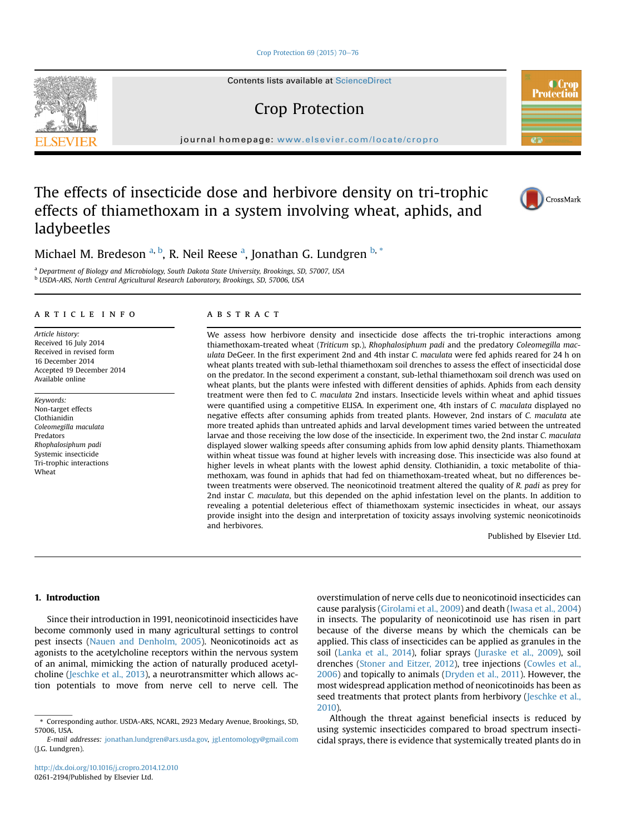[Crop Protection 69 \(2015\) 70](http://dx.doi.org/10.1016/j.cropro.2014.12.010)-[76](http://dx.doi.org/10.1016/j.cropro.2014.12.010)

Contents lists available at ScienceDirect

# Crop Protection

journal homepage: [www.elsevier.com/locate/cropro](http://www.elsevier.com/locate/cropro)

# The effects of insecticide dose and herbivore density on tri-trophic effects of thiamethoxam in a system involving wheat, aphids, and ladybeetles

Michael M. Bredeson <sup>a, b</sup>, R. Neil Reese <sup>a</sup>, Jonathan G. Lundgren <sup>b, \*</sup>

<sup>a</sup> Department of Biology and Microbiology, South Dakota State University, Brookings, SD, 57007, USA <sup>b</sup> USDA-ARS, North Central Agricultural Research Laboratory, Brookings, SD, 57006, USA

## article info

Article history: Received 16 July 2014 Received in revised form 16 December 2014 Accepted 19 December 2014 Available online

Keywords: Non-target effects Clothianidin Coleomegilla maculata Predators Rhophalosiphum padi Systemic insecticide Tri-trophic interactions Wheat

# ABSTRACT

We assess how herbivore density and insecticide dose affects the tri-trophic interactions among thiamethoxam-treated wheat (Triticum sp.), Rhophalosiphum padi and the predatory Coleomegilla maculata DeGeer. In the first experiment 2nd and 4th instar C. maculata were fed aphids reared for 24 h on wheat plants treated with sub-lethal thiamethoxam soil drenches to assess the effect of insecticidal dose on the predator. In the second experiment a constant, sub-lethal thiamethoxam soil drench was used on wheat plants, but the plants were infested with different densities of aphids. Aphids from each density treatment were then fed to C. maculata 2nd instars. Insecticide levels within wheat and aphid tissues were quantified using a competitive ELISA. In experiment one, 4th instars of C. maculata displayed no negative effects after consuming aphids from treated plants. However, 2nd instars of C. maculata ate more treated aphids than untreated aphids and larval development times varied between the untreated larvae and those receiving the low dose of the insecticide. In experiment two, the 2nd instar C. maculata displayed slower walking speeds after consuming aphids from low aphid density plants. Thiamethoxam within wheat tissue was found at higher levels with increasing dose. This insecticide was also found at higher levels in wheat plants with the lowest aphid density. Clothianidin, a toxic metabolite of thiamethoxam, was found in aphids that had fed on thiamethoxam-treated wheat, but no differences between treatments were observed. The neonicotinoid treatment altered the quality of R. padi as prey for 2nd instar C. maculata, but this depended on the aphid infestation level on the plants. In addition to revealing a potential deleterious effect of thiamethoxam systemic insecticides in wheat, our assays provide insight into the design and interpretation of toxicity assays involving systemic neonicotinoids and herbivores.

Published by Elsevier Ltd.

# 1. Introduction

Since their introduction in 1991, neonicotinoid insecticides have become commonly used in many agricultural settings to control pest insects [\(Nauen and Denholm, 2005\)](#page-6-0). Neonicotinoids act as agonists to the acetylcholine receptors within the nervous system of an animal, mimicking the action of naturally produced acetylcholine [\(Jeschke et al., 2013\)](#page-6-0), a neurotransmitter which allows action potentials to move from nerve cell to nerve cell. The overstimulation of nerve cells due to neonicotinoid insecticides can cause paralysis ([Girolami et al., 2009](#page-5-0)) and death ([Iwasa et al., 2004\)](#page-5-0) in insects. The popularity of neonicotinoid use has risen in part because of the diverse means by which the chemicals can be applied. This class of insecticides can be applied as granules in the soil ([Lanka et al., 2014\)](#page-6-0), foliar sprays ([Juraske et al., 2009\)](#page-6-0), soil drenches [\(Stoner and Eitzer, 2012](#page-6-0)), tree injections ([Cowles et al.,](#page-5-0) [2006](#page-5-0)) and topically to animals ([Dryden et al., 2011\)](#page-5-0). However, the most widespread application method of neonicotinoids has been as seed treatments that protect plants from herbivory ([Jeschke et al.,](#page-6-0) [2010\)](#page-6-0).

Although the threat against beneficial insects is reduced by using systemic insecticides compared to broad spectrum insecticidal sprays, there is evidence that systemically treated plants do in





**ST** 

**C**ro **Protection** 

<sup>\*</sup> Corresponding author. USDA-ARS, NCARL, 2923 Medary Avenue, Brookings, SD, 57006, USA.

E-mail addresses: [jonathan.lundgren@ars.usda.gov,](mailto:jonathan.lundgren@ars.usda.gov) [jgl.entomology@gmail.com](mailto:jgl.entomology@gmail.com) (J.G. Lundgren).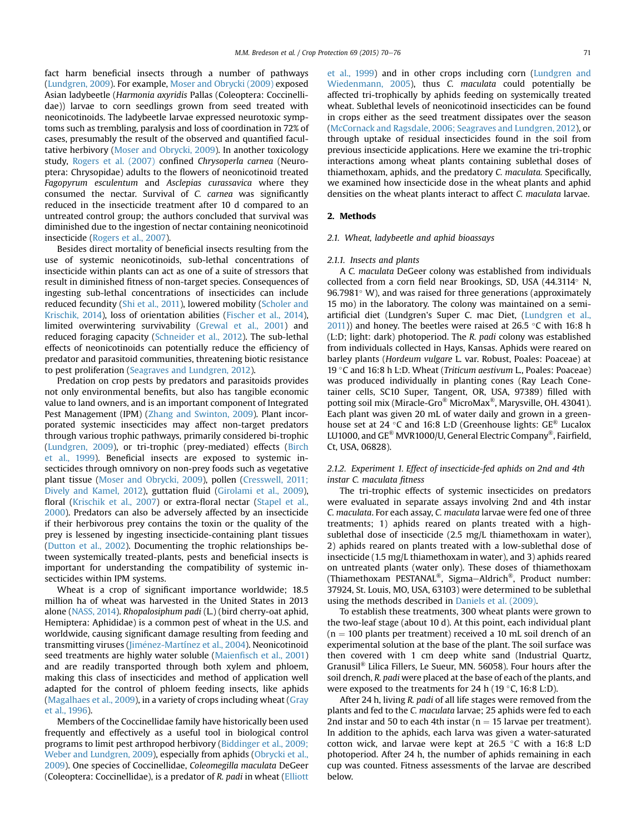fact harm beneficial insects through a number of pathways ([Lundgren, 2009\)](#page-6-0). For example, [Moser and Obrycki \(2009\)](#page-6-0) exposed Asian ladybeetle (Harmonia axyridis Pallas (Coleoptera: Coccinellidae)) larvae to corn seedlings grown from seed treated with neonicotinoids. The ladybeetle larvae expressed neurotoxic symptoms such as trembling, paralysis and loss of coordination in 72% of cases, presumably the result of the observed and quantified facultative herbivory ([Moser and Obrycki, 2009\)](#page-6-0). In another toxicology study, [Rogers et al. \(2007\)](#page-6-0) confined Chrysoperla carnea (Neuroptera: Chrysopidae) adults to the flowers of neonicotinoid treated Fagopyrum esculentum and Asclepias curassavica where they consumed the nectar. Survival of C. carnea was significantly reduced in the insecticide treatment after 10 d compared to an untreated control group; the authors concluded that survival was diminished due to the ingestion of nectar containing neonicotinoid insecticide [\(Rogers et al., 2007\)](#page-6-0).

Besides direct mortality of beneficial insects resulting from the use of systemic neonicotinoids, sub-lethal concentrations of insecticide within plants can act as one of a suite of stressors that result in diminished fitness of non-target species. Consequences of ingesting sub-lethal concentrations of insecticides can include reduced fecundity ([Shi et al., 2011](#page-6-0)), lowered mobility [\(Scholer and](#page-6-0) [Krischik, 2014\)](#page-6-0), loss of orientation abilities ([Fischer et al., 2014\)](#page-5-0), limited overwintering survivability [\(Grewal et al., 2001\)](#page-5-0) and reduced foraging capacity ([Schneider et al., 2012\)](#page-6-0). The sub-lethal effects of neonicotinoids can potentially reduce the efficiency of predator and parasitoid communities, threatening biotic resistance to pest proliferation ([Seagraves and Lundgren, 2012\)](#page-6-0).

Predation on crop pests by predators and parasitoids provides not only environmental benefits, but also has tangible economic value to land owners, and is an important component of Integrated Pest Management (IPM) [\(Zhang and Swinton, 2009\)](#page-6-0). Plant incorporated systemic insecticides may affect non-target predators through various trophic pathways, primarily considered bi-trophic ([Lundgren, 2009\)](#page-6-0), or tri-trophic (prey-mediated) effects [\(Birch](#page-5-0) [et al., 1999](#page-5-0)). Beneficial insects are exposed to systemic insecticides through omnivory on non-prey foods such as vegetative plant tissue [\(Moser and Obrycki, 2009\)](#page-6-0), pollen ([Cresswell, 2011;](#page-5-0) [Dively and Kamel, 2012\)](#page-5-0), guttation fluid [\(Girolami et al., 2009\)](#page-5-0), floral [\(Krischik et al., 2007\)](#page-6-0) or extra-floral nectar ([Stapel et al.,](#page-6-0) [2000](#page-6-0)). Predators can also be adversely affected by an insecticide if their herbivorous prey contains the toxin or the quality of the prey is lessened by ingesting insecticide-containing plant tissues ([Dutton et al., 2002](#page-5-0)). Documenting the trophic relationships between systemically treated-plants, pests and beneficial insects is important for understanding the compatibility of systemic insecticides within IPM systems.

Wheat is a crop of significant importance worldwide; 18.5 million ha of wheat was harvested in the United States in 2013 alone [\(NASS, 2014](#page-6-0)). Rhopalosiphum padi (L.) (bird cherry-oat aphid, Hemiptera: Aphididae) is a common pest of wheat in the U.S. and worldwide, causing significant damage resulting from feeding and transmitting viruses (Jiménez-Martínez et al., 2004). Neonicotinoid seed treatments are highly water soluble (Maienfi[sch et al., 2001\)](#page-6-0) and are readily transported through both xylem and phloem, making this class of insecticides and method of application well adapted for the control of phloem feeding insects, like aphids ([Magalhaes et al., 2009](#page-6-0)), in a variety of crops including wheat ([Gray](#page-5-0) [et al., 1996](#page-5-0)).

Members of the Coccinellidae family have historically been used frequently and effectively as a useful tool in biological control programs to limit pest arthropod herbivory ([Biddinger et al., 2009;](#page-5-0) [Weber and Lundgren, 2009](#page-5-0)), especially from aphids [\(Obrycki et al.,](#page-6-0) [2009\)](#page-6-0). One species of Coccinellidae, Coleomegilla maculata DeGeer (Coleoptera: Coccinellidae), is a predator of R. padi in wheat [\(Elliott](#page-5-0) [et al., 1999](#page-5-0)) and in other crops including corn ([Lundgren and](#page-6-0) [Wiedenmann, 2005\)](#page-6-0), thus C. maculata could potentially be affected tri-trophically by aphids feeding on systemically treated wheat. Sublethal levels of neonicotinoid insecticides can be found in crops either as the seed treatment dissipates over the season ([McCornack and Ragsdale, 2006; Seagraves and Lundgren, 2012\)](#page-6-0), or through uptake of residual insecticides found in the soil from previous insecticide applications. Here we examine the tri-trophic interactions among wheat plants containing sublethal doses of thiamethoxam, aphids, and the predatory C. maculata. Specifically, we examined how insecticide dose in the wheat plants and aphid densities on the wheat plants interact to affect C. maculata larvae.

#### 2. Methods

#### 2.1. Wheat, ladybeetle and aphid bioassays

#### 2.1.1. Insects and plants

A C. maculata DeGeer colony was established from individuals collected from a corn field near Brookings, SD, USA (44.3114° N,  $96.7981°$  W), and was raised for three generations (approximately 15 mo) in the laboratory. The colony was maintained on a semiartificial diet (Lundgren's Super C. mac Diet, [\(Lundgren et al.,](#page-6-0)  $2011$ )) and honey. The beetles were raised at 26.5 °C with 16:8 h (L:D; light: dark) photoperiod. The R. padi colony was established from individuals collected in Hays, Kansas. Aphids were reared on barley plants (Hordeum vulgare L. var. Robust, Poales: Poaceae) at 19 °C and 16:8 h L:D. Wheat (Triticum aestivum L., Poales: Poaceae) was produced individually in planting cones (Ray Leach Conetainer cells, SC10 Super, Tangent, OR, USA, 97389) filled with potting soil mix (Miracle-Gro® MicroMax®, Marysville, OH. 43041). Each plant was given 20 mL of water daily and grown in a greenhouse set at 24 °C and 16:8 L:D (Greenhouse lights:  $GE^{\otimes}$  Lucalox LU1000, and GE® MVR1000/U, General Electric Company®, Fairfield, Ct, USA, 06828).

# 2.1.2. Experiment 1. Effect of insecticide-fed aphids on 2nd and 4th instar C. maculata fitness

The tri-trophic effects of systemic insecticides on predators were evaluated in separate assays involving 2nd and 4th instar C. maculata. For each assay, C. maculata larvae were fed one of three treatments; 1) aphids reared on plants treated with a highsublethal dose of insecticide (2.5 mg/L thiamethoxam in water), 2) aphids reared on plants treated with a low-sublethal dose of insecticide (1.5 mg/L thiamethoxam in water), and 3) aphids reared on untreated plants (water only). These doses of thiamethoxam (Thiamethoxam PESTANAL<sup>®</sup>, Sigma-Aldrich<sup>®</sup>, Product number: 37924, St. Louis, MO, USA, 63103) were determined to be sublethal using the methods described in [Daniels et al. \(2009\)](#page-5-0).

To establish these treatments, 300 wheat plants were grown to the two-leaf stage (about 10 d). At this point, each individual plant  $(n = 100$  plants per treatment) received a 10 mL soil drench of an experimental solution at the base of the plant. The soil surface was then covered with 1 cm deep white sand (Industrial Quartz, Granusil® Lilica Fillers, Le Sueur, MN. 56058). Four hours after the soil drench, R. padi were placed at the base of each of the plants, and were exposed to the treatments for 24 h (19 $\degree$ C, 16:8 L:D).

After 24 h, living R. padi of all life stages were removed from the plants and fed to the C. maculata larvae; 25 aphids were fed to each 2nd instar and 50 to each 4th instar ( $n = 15$  larvae per treatment). In addition to the aphids, each larva was given a water-saturated cotton wick, and larvae were kept at  $26.5$  °C with a 16:8 L:D photoperiod. After 24 h, the number of aphids remaining in each cup was counted. Fitness assessments of the larvae are described below.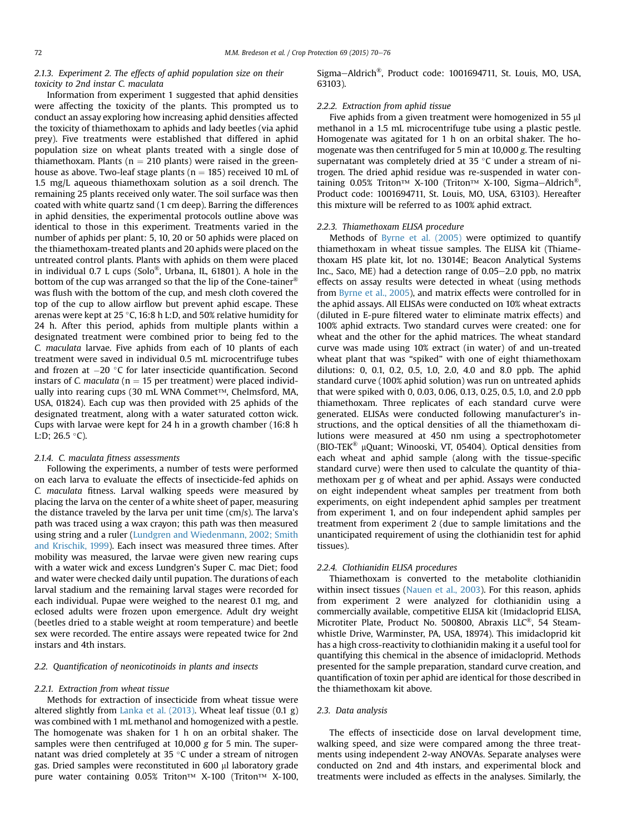## 2.1.3. Experiment 2. The effects of aphid population size on their toxicity to 2nd instar C. maculata

Information from experiment 1 suggested that aphid densities were affecting the toxicity of the plants. This prompted us to conduct an assay exploring how increasing aphid densities affected the toxicity of thiamethoxam to aphids and lady beetles (via aphid prey). Five treatments were established that differed in aphid population size on wheat plants treated with a single dose of thiamethoxam. Plants ( $n = 210$  plants) were raised in the greenhouse as above. Two-leaf stage plants ( $n = 185$ ) received 10 mL of 1.5 mg/L aqueous thiamethoxam solution as a soil drench. The remaining 25 plants received only water. The soil surface was then coated with white quartz sand (1 cm deep). Barring the differences in aphid densities, the experimental protocols outline above was identical to those in this experiment. Treatments varied in the number of aphids per plant: 5, 10, 20 or 50 aphids were placed on the thiamethoxam-treated plants and 20 aphids were placed on the untreated control plants. Plants with aphids on them were placed in individual 0.7 L cups (Solo®, Urbana, IL, 61801). A hole in the bottom of the cup was arranged so that the lip of the Cone-tainer® was flush with the bottom of the cup, and mesh cloth covered the top of the cup to allow airflow but prevent aphid escape. These arenas were kept at 25 °C, 16:8 h L:D, and 50% relative humidity for 24 h. After this period, aphids from multiple plants within a designated treatment were combined prior to being fed to the C. maculata larvae. Five aphids from each of 10 plants of each treatment were saved in individual 0.5 mL microcentrifuge tubes and frozen at  $-20$  °C for later insecticide quantification. Second instars of C. maculata ( $n = 15$  per treatment) were placed individually into rearing cups (30 mL WNA Commet™, Chelmsford, MA, USA, 01824). Each cup was then provided with 25 aphids of the designated treatment, along with a water saturated cotton wick. Cups with larvae were kept for 24 h in a growth chamber (16:8 h L:D; 26.5  $\degree$ C).

#### 2.1.4. C. maculata fitness assessments

Following the experiments, a number of tests were performed on each larva to evaluate the effects of insecticide-fed aphids on C. maculata fitness. Larval walking speeds were measured by placing the larva on the center of a white sheet of paper, measuring the distance traveled by the larva per unit time (cm/s). The larva's path was traced using a wax crayon; this path was then measured using string and a ruler ([Lundgren and Wiedenmann, 2002; Smith](#page-6-0) [and Krischik, 1999\)](#page-6-0). Each insect was measured three times. After mobility was measured, the larvae were given new rearing cups with a water wick and excess Lundgren's Super C. mac Diet; food and water were checked daily until pupation. The durations of each larval stadium and the remaining larval stages were recorded for each individual. Pupae were weighed to the nearest 0.1 mg, and eclosed adults were frozen upon emergence. Adult dry weight (beetles dried to a stable weight at room temperature) and beetle sex were recorded. The entire assays were repeated twice for 2nd instars and 4th instars.

## 2.2. Quantification of neonicotinoids in plants and insects

#### 2.2.1. Extraction from wheat tissue

Methods for extraction of insecticide from wheat tissue were altered slightly from [Lanka et al. \(2013\)](#page-6-0). Wheat leaf tissue (0.1 g) was combined with 1 mL methanol and homogenized with a pestle. The homogenate was shaken for 1 h on an orbital shaker. The samples were then centrifuged at 10,000 g for 5 min. The supernatant was dried completely at 35  $\degree$ C under a stream of nitrogen gas. Dried samples were reconstituted in 600 µl laboratory grade pure water containing 0.05% Triton™ X-100 (Triton™ X-100, Sigma-Aldrich<sup>®</sup>, Product code: 1001694711, St. Louis, MO, USA, 63103).

### 2.2.2. Extraction from aphid tissue

Five aphids from a given treatment were homogenized in 55  $\mu$ l methanol in a 1.5 mL microcentrifuge tube using a plastic pestle. Homogenate was agitated for 1 h on an orbital shaker. The homogenate was then centrifuged for 5 min at 10,000 g. The resulting supernatant was completely dried at  $35^{\circ}$ C under a stream of nitrogen. The dried aphid residue was re-suspended in water containing 0.05% Triton™ X-100 (Triton™ X-100, Sigma-Aldrich<sup>®</sup>, Product code: 1001694711, St. Louis, MO, USA, 63103). Hereafter this mixture will be referred to as 100% aphid extract.

#### 2.2.3. Thiamethoxam ELISA procedure

Methods of [Byrne et al. \(2005\)](#page-5-0) were optimized to quantify thiamethoxam in wheat tissue samples. The ELISA kit (Thiamethoxam HS plate kit, lot no. 13014E; Beacon Analytical Systems Inc., Saco, ME) had a detection range of  $0.05-2.0$  ppb, no matrix effects on assay results were detected in wheat (using methods from [Byrne et al., 2005\)](#page-5-0), and matrix effects were controlled for in the aphid assays. All ELISAs were conducted on 10% wheat extracts (diluted in E-pure filtered water to eliminate matrix effects) and 100% aphid extracts. Two standard curves were created: one for wheat and the other for the aphid matrices. The wheat standard curve was made using 10% extract (in water) of and un-treated wheat plant that was "spiked" with one of eight thiamethoxam dilutions: 0, 0.1, 0.2, 0.5, 1.0, 2.0, 4.0 and 8.0 ppb. The aphid standard curve (100% aphid solution) was run on untreated aphids that were spiked with 0, 0.03, 0.06, 0.13, 0.25, 0.5, 1.0, and 2.0 ppb thiamethoxam. Three replicates of each standard curve were generated. ELISAs were conducted following manufacturer's instructions, and the optical densities of all the thiamethoxam dilutions were measured at 450 nm using a spectrophotometer (BIO-TEK<sup>®</sup> µQuant; Winooski, VT, 05404). Optical densities from each wheat and aphid sample (along with the tissue-specific standard curve) were then used to calculate the quantity of thiamethoxam per g of wheat and per aphid. Assays were conducted on eight independent wheat samples per treatment from both experiments, on eight independent aphid samples per treatment from experiment 1, and on four independent aphid samples per treatment from experiment 2 (due to sample limitations and the unanticipated requirement of using the clothianidin test for aphid tissues).

## 2.2.4. Clothianidin ELISA procedures

Thiamethoxam is converted to the metabolite clothianidin within insect tissues ([Nauen et al., 2003](#page-6-0)). For this reason, aphids from experiment 2 were analyzed for clothianidin using a commercially available, competitive ELISA kit (Imidacloprid ELISA, Microtiter Plate, Product No. 500800, Abraxis LLC®, 54 Steamwhistle Drive, Warminster, PA, USA, 18974). This imidacloprid kit has a high cross-reactivity to clothianidin making it a useful tool for quantifying this chemical in the absence of imidacloprid. Methods presented for the sample preparation, standard curve creation, and quantification of toxin per aphid are identical for those described in the thiamethoxam kit above.

#### 2.3. Data analysis

The effects of insecticide dose on larval development time, walking speed, and size were compared among the three treatments using independent 2-way ANOVAs. Separate analyses were conducted on 2nd and 4th instars, and experimental block and treatments were included as effects in the analyses. Similarly, the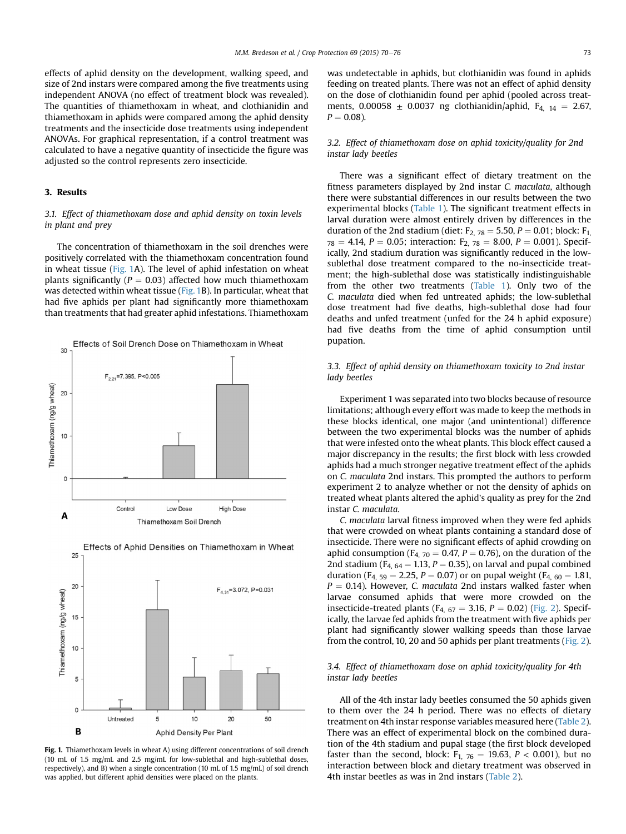<span id="page-3-0"></span>effects of aphid density on the development, walking speed, and size of 2nd instars were compared among the five treatments using independent ANOVA (no effect of treatment block was revealed). The quantities of thiamethoxam in wheat, and clothianidin and thiamethoxam in aphids were compared among the aphid density treatments and the insecticide dose treatments using independent ANOVAs. For graphical representation, if a control treatment was calculated to have a negative quantity of insecticide the figure was adjusted so the control represents zero insecticide.

## 3. Results

# 3.1. Effect of thiamethoxam dose and aphid density on toxin levels in plant and prey

The concentration of thiamethoxam in the soil drenches were positively correlated with the thiamethoxam concentration found in wheat tissue (Fig. 1A). The level of aphid infestation on wheat plants significantly ( $P = 0.03$ ) affected how much thiamethoxam was detected within wheat tissue (Fig. 1B). In particular, wheat that had five aphids per plant had significantly more thiamethoxam than treatments that had greater aphid infestations. Thiamethoxam





Effects of Aphid Densities on Thiamethoxam in Wheat

Fig. 1. Thiamethoxam levels in wheat A) using different concentrations of soil drench (10 mL of 1.5 mg/mL and 2.5 mg/mL for low-sublethal and high-sublethal doses, respectively), and B) when a single concentration (10 mL of 1.5 mg/mL) of soil drench was applied, but different aphid densities were placed on the plants.

was undetectable in aphids, but clothianidin was found in aphids feeding on treated plants. There was not an effect of aphid density on the dose of clothianidin found per aphid (pooled across treatments, 0.00058  $\pm$  0.0037 ng clothianidin/aphid, F<sub>4, 14</sub> = 2.67,  $P = 0.08$ ).

## 3.2. Effect of thiamethoxam dose on aphid toxicity/quality for 2nd instar lady beetles

There was a significant effect of dietary treatment on the fitness parameters displayed by 2nd instar C. maculata, although there were substantial differences in our results between the two experimental blocks [\(Table 1](#page-4-0)). The significant treatment effects in larval duration were almost entirely driven by differences in the duration of the 2nd stadium (diet:  $F_{2, 78} = 5.50$ ,  $P = 0.01$ ; block:  $F_{1, 0}$  $78 = 4.14$ ,  $P = 0.05$ ; interaction:  $F_{2, 78} = 8.00$ ,  $P = 0.001$ ). Specifically, 2nd stadium duration was significantly reduced in the lowsublethal dose treatment compared to the no-insecticide treatment; the high-sublethal dose was statistically indistinguishable from the other two treatments [\(Table 1\)](#page-4-0). Only two of the C. maculata died when fed untreated aphids; the low-sublethal dose treatment had five deaths, high-sublethal dose had four deaths and unfed treatment (unfed for the 24 h aphid exposure) had five deaths from the time of aphid consumption until pupation.

# 3.3. Effect of aphid density on thiamethoxam toxicity to 2nd instar lady beetles

Experiment 1 was separated into two blocks because of resource limitations; although every effort was made to keep the methods in these blocks identical, one major (and unintentional) difference between the two experimental blocks was the number of aphids that were infested onto the wheat plants. This block effect caused a major discrepancy in the results; the first block with less crowded aphids had a much stronger negative treatment effect of the aphids on C. maculata 2nd instars. This prompted the authors to perform experiment 2 to analyze whether or not the density of aphids on treated wheat plants altered the aphid's quality as prey for the 2nd instar C. maculata.

C. maculata larval fitness improved when they were fed aphids that were crowded on wheat plants containing a standard dose of insecticide. There were no significant effects of aphid crowding on aphid consumption ( $F_{4, 70} = 0.47$ ,  $P = 0.76$ ), on the duration of the 2nd stadium ( $F_{4, 64} = 1.13$ ,  $P = 0.35$ ), on larval and pupal combined duration (F<sub>4, 59</sub> = 2.25, P = 0.07) or on pupal weight (F<sub>4, 60</sub> = 1.81,  $P = 0.14$ ). However, C. maculata 2nd instars walked faster when larvae consumed aphids that were more crowded on the insecticide-treated plants ( $F_{4, 67} = 3.16$ ,  $P = 0.02$ ) ([Fig. 2\)](#page-4-0). Specifically, the larvae fed aphids from the treatment with five aphids per plant had significantly slower walking speeds than those larvae from the control, 10, 20 and 50 aphids per plant treatments ([Fig. 2\)](#page-4-0).

# 3.4. Effect of thiamethoxam dose on aphid toxicity/quality for 4th instar lady beetles

All of the 4th instar lady beetles consumed the 50 aphids given to them over the 24 h period. There was no effects of dietary treatment on 4th instar response variables measured here [\(Table 2\)](#page-5-0). There was an effect of experimental block on the combined duration of the 4th stadium and pupal stage (the first block developed faster than the second, block:  $F_{1, 76} = 19.63$ ,  $P < 0.001$ ), but no interaction between block and dietary treatment was observed in 4th instar beetles as was in 2nd instars ([Table 2\)](#page-5-0).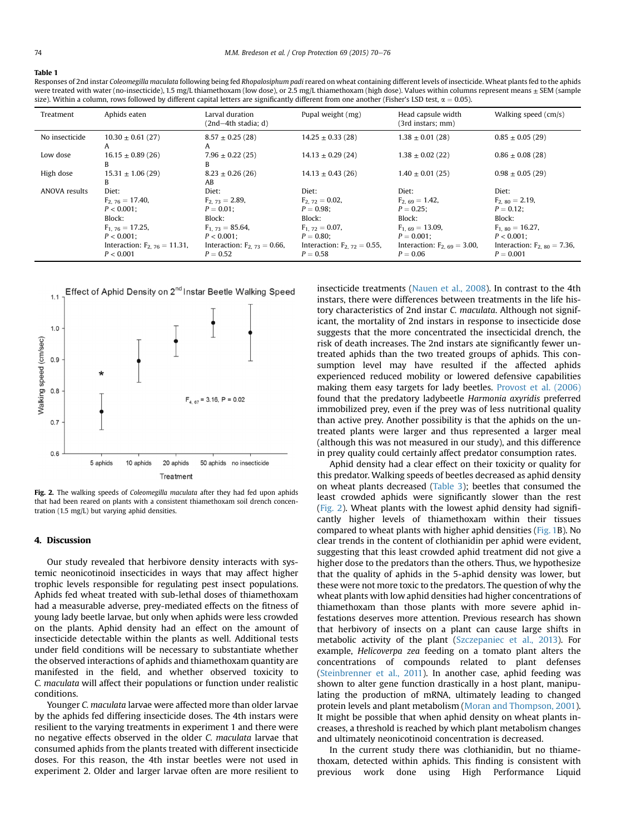#### <span id="page-4-0"></span>Table 1

Responses of 2nd instar Coleomegilla maculata following being fed Rhopalosiphum padi reared on wheat containing different levels of insecticide. Wheat plants fed to the aphids were treated with water (no-insecticide), 1.5 mg/L thiamethoxam (low dose), or 2.5 mg/L thiamethoxam (high dose). Values within columns represent means  $\pm$  SEM (sample size). Within a column, rows followed by different capital letters are significantly different from one another (Fisher's LSD test,  $\alpha = 0.05$ )

| Treatment            | Aphids eaten                                                                                                                                        | Larval duration<br>(2nd-4th stadia; d)                                                                                                          | Pupal weight (mg)                                                                                                                              | Head capsule width<br>$(3rd$ instars; mm $)$                                                                                                      | Walking speed (cm/s)                                                                                                                               |
|----------------------|-----------------------------------------------------------------------------------------------------------------------------------------------------|-------------------------------------------------------------------------------------------------------------------------------------------------|------------------------------------------------------------------------------------------------------------------------------------------------|---------------------------------------------------------------------------------------------------------------------------------------------------|----------------------------------------------------------------------------------------------------------------------------------------------------|
| No insecticide       | $10.30 \pm 0.61$ (27)<br>A                                                                                                                          | $8.57 \pm 0.25(28)$<br>A                                                                                                                        | $14.25 \pm 0.33(28)$                                                                                                                           | $1.38 \pm 0.01$ (28)                                                                                                                              | $0.85 \pm 0.05$ (29)                                                                                                                               |
| Low dose             | $16.15 \pm 0.89(26)$<br>B                                                                                                                           | $7.96 \pm 0.22$ (25)<br>B                                                                                                                       | $14.13 \pm 0.29$ (24)                                                                                                                          | $1.38 \pm 0.02$ (22)                                                                                                                              | $0.86 \pm 0.08$ (28)                                                                                                                               |
| High dose            | $15.31 \pm 1.06(29)$<br>B                                                                                                                           | $8.23 \pm 0.26$ (26)<br>AB                                                                                                                      | $14.13 \pm 0.43$ (26)                                                                                                                          | $1.40 \pm 0.01(25)$                                                                                                                               | $0.98 \pm 0.05$ (29)                                                                                                                               |
| <b>ANOVA</b> results | Diet:<br>$F_{2,76} = 17.40$ ,<br>$P < 0.001$ ;<br>Block:<br>$F_{1.76} = 17.25$ ,<br>$P < 0.001$ ;<br>Interaction: $F_{2.76} = 11.31$ ,<br>P < 0.001 | Diet:<br>$F_{2,73} = 2.89$ ,<br>$P = 0.01$ :<br>Block:<br>$F_{1,73} = 85.64$<br>$P < 0.001$ :<br>Interaction: $F_{2.73} = 0.66$ ,<br>$P = 0.52$ | Diet:<br>$F_{2,72} = 0.02$ ,<br>$P = 0.98$<br>Block:<br>$F_{1.72} = 0.07$ ,<br>$P = 0.80$ :<br>Interaction: $F_{2, 72} = 0.55$ ,<br>$P = 0.58$ | Diet:<br>$F_{2.69} = 1.42$ ,<br>$P = 0.25$ :<br>Block:<br>$F_{1.69} = 13.09$ ,<br>$P = 0.001$ :<br>Interaction: $F_{2.69} = 3.00$ ,<br>$P = 0.06$ | Diet:<br>$F_{2.80} = 2.19$ ,<br>$P = 0.12$ :<br>Block:<br>$F_{1.80} = 16.27$ ,<br>$P < 0.001$ :<br>Interaction: $F_{2.80} = 7.36$ ,<br>$P = 0.001$ |



Fig. 2. The walking speeds of Coleomegilla maculata after they had fed upon aphids that had been reared on plants with a consistent thiamethoxam soil drench concentration (1.5 mg/L) but varying aphid densities.

## 4. Discussion

Our study revealed that herbivore density interacts with systemic neonicotinoid insecticides in ways that may affect higher trophic levels responsible for regulating pest insect populations. Aphids fed wheat treated with sub-lethal doses of thiamethoxam had a measurable adverse, prey-mediated effects on the fitness of young lady beetle larvae, but only when aphids were less crowded on the plants. Aphid density had an effect on the amount of insecticide detectable within the plants as well. Additional tests under field conditions will be necessary to substantiate whether the observed interactions of aphids and thiamethoxam quantity are manifested in the field, and whether observed toxicity to C. maculata will affect their populations or function under realistic conditions.

Younger C. maculata larvae were affected more than older larvae by the aphids fed differing insecticide doses. The 4th instars were resilient to the varying treatments in experiment 1 and there were no negative effects observed in the older C. maculata larvae that consumed aphids from the plants treated with different insecticide doses. For this reason, the 4th instar beetles were not used in experiment 2. Older and larger larvae often are more resilient to insecticide treatments [\(Nauen et al., 2008](#page-6-0)). In contrast to the 4th instars, there were differences between treatments in the life history characteristics of 2nd instar C. maculata. Although not significant, the mortality of 2nd instars in response to insecticide dose suggests that the more concentrated the insecticidal drench, the risk of death increases. The 2nd instars ate significantly fewer untreated aphids than the two treated groups of aphids. This consumption level may have resulted if the affected aphids experienced reduced mobility or lowered defensive capabilities making them easy targets for lady beetles. [Provost et al. \(2006\)](#page-6-0) found that the predatory ladybeetle Harmonia axyridis preferred immobilized prey, even if the prey was of less nutritional quality than active prey. Another possibility is that the aphids on the untreated plants were larger and thus represented a larger meal (although this was not measured in our study), and this difference in prey quality could certainly affect predator consumption rates.

Aphid density had a clear effect on their toxicity or quality for this predator. Walking speeds of beetles decreased as aphid density on wheat plants decreased [\(Table 3](#page-5-0)); beetles that consumed the least crowded aphids were significantly slower than the rest (Fig. 2). Wheat plants with the lowest aphid density had significantly higher levels of thiamethoxam within their tissues compared to wheat plants with higher aphid densities [\(Fig. 1](#page-3-0)B). No clear trends in the content of clothianidin per aphid were evident, suggesting that this least crowded aphid treatment did not give a higher dose to the predators than the others. Thus, we hypothesize that the quality of aphids in the 5-aphid density was lower, but these were not more toxic to the predators. The question of why the wheat plants with low aphid densities had higher concentrations of thiamethoxam than those plants with more severe aphid infestations deserves more attention. Previous research has shown that herbivory of insects on a plant can cause large shifts in metabolic activity of the plant [\(Szczepaniec et al., 2013\)](#page-6-0). For example, Helicoverpa zea feeding on a tomato plant alters the concentrations of compounds related to plant defenses ([Steinbrenner et al., 2011](#page-6-0)). In another case, aphid feeding was shown to alter gene function drastically in a host plant, manipulating the production of mRNA, ultimately leading to changed protein levels and plant metabolism [\(Moran and Thompson, 2001\)](#page-6-0). It might be possible that when aphid density on wheat plants increases, a threshold is reached by which plant metabolism changes and ultimately neonicotinoid concentration is decreased.

In the current study there was clothianidin, but no thiamethoxam, detected within aphids. This finding is consistent with previous work done using High Performance Liquid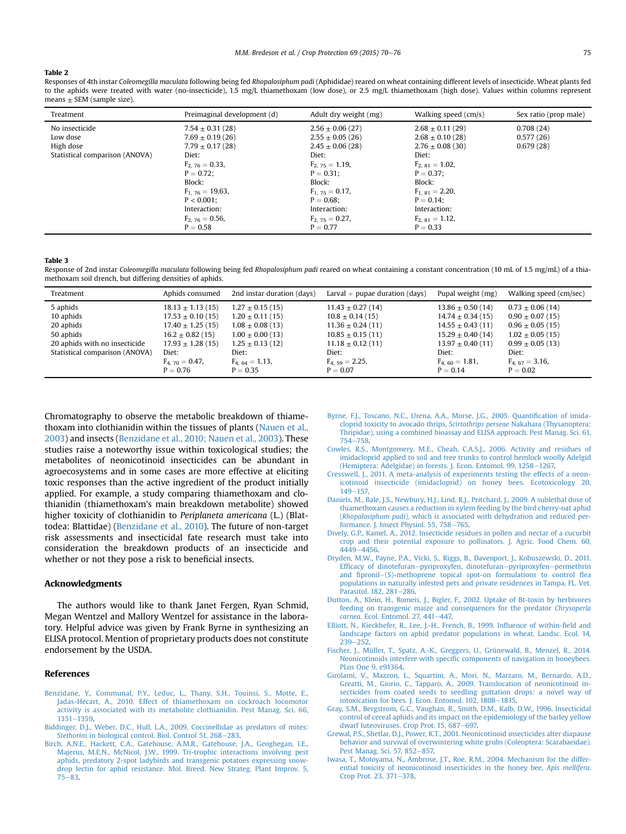#### <span id="page-5-0"></span>Table 2

Responses of 4th instar Coleomegilla maculata following being fed Rhopalosiphum padi (Aphididae) reared on wheat containing different levels of insecticide. Wheat plants fed to the aphids were treated with water (no-insecticide), 1.5 mg/L thiamethoxam (low dose), or 2.5 mg/L thiamethoxam (high dose). Values within columns represent  $means + SEM$  (sample size).

| Treatment                      | Preimaginal development (d)                | Adult dry weight (mg)                      | Walking speed (cm/s)                        | Sex ratio (prop male)  |
|--------------------------------|--------------------------------------------|--------------------------------------------|---------------------------------------------|------------------------|
| No insecticide                 | $7.54 \pm 0.31(28)$                        | $2.56 \pm 0.06(27)$                        | $2.68 \pm 0.11(29)$                         | 0.708(24)              |
| Low dose<br>High dose          | $7.69 \pm 0.19(26)$<br>$7.79 \pm 0.17(28)$ | $2.55 \pm 0.05(26)$<br>$2.45 \pm 0.06(28)$ | $2.68 \pm 0.10(28)$<br>$2.76 \pm 0.08$ (30) | 0.577(26)<br>0.679(28) |
| Statistical comparison (ANOVA) | Diet:<br>$F_{2.76} = 0.33$ ,               | Diet:<br>$F_{2,75} = 1.19$ ,               | Diet:<br>$F_{2.81} = 1.02$ ,                |                        |
|                                | $P = 0.72$ :                               | $P = 0.31$ :                               | $P = 0.37$ :                                |                        |
|                                | Block:<br>$F_{1,76} = 19.63$ ,             | Block:<br>$F_{1, 75} = 0.17$ ,             | Block:<br>$F_{1.81} = 2.20$ ,               |                        |
|                                | $P < 0.001$ :                              | $P = 0.68$ :                               | $P = 0.14$ :                                |                        |
|                                | Interaction:<br>$F_{2,76} = 0.56$ ,        | Interaction:<br>$F_{2,75} = 0.27$ ,        | Interaction:<br>$F_{2.81} = 1.12$ ,         |                        |
|                                | $P = 0.58$                                 | $P = 0.77$                                 | $P = 0.33$                                  |                        |

#### Table 3

Response of 2nd instar Coleomegilla maculata following being fed Rhopalosiphum padi reared on wheat containing a constant concentration (10 mL of 1.5 mg/mL) of a thiamethoxam soil drench, but differing densities of aphids.

| Treatment                                                                                                          | Aphids consumed                                                                                                                                      | 2nd instar duration (days)                                                                                                                         | Larval $+$ pupae duration (days)                                                                                                                    | Pupal weight (mg)                                                                                                                                     | Walking speed (cm/sec)                                                                                                                              |
|--------------------------------------------------------------------------------------------------------------------|------------------------------------------------------------------------------------------------------------------------------------------------------|----------------------------------------------------------------------------------------------------------------------------------------------------|-----------------------------------------------------------------------------------------------------------------------------------------------------|-------------------------------------------------------------------------------------------------------------------------------------------------------|-----------------------------------------------------------------------------------------------------------------------------------------------------|
| 5 aphids<br>10 aphids<br>20 aphids<br>50 aphids<br>20 aphids with no insecticide<br>Statistical comparison (ANOVA) | $18.13 \pm 1.13(15)$<br>$17.53 \pm 0.10(15)$<br>$17.40 \pm 1.25(15)$<br>$16.2 \pm 0.82$ (15)<br>$17.93 \pm 1.28(15)$<br>Diet:<br>$F_{4,70} = 0.47$ , | $1.27 \pm 0.15(15)$<br>$1.20 \pm 0.11(15)$<br>$1.08 \pm 0.08$ (13)<br>$1.00 \pm 0.00$ (13)<br>$1.25 \pm 0.13$ (12)<br>Diet:<br>$F_{4.64} = 1.13$ , | $11.43 \pm 0.27(14)$<br>$10.8 \pm 0.14(15)$<br>$11.36 \pm 0.24(11)$<br>$10.85 \pm 0.15(11)$<br>$11.18 \pm 0.12(11)$<br>Diet:<br>$F_{4,59} = 2.25$ , | $13.86 \pm 0.50$ (14)<br>$14.74 \pm 0.34(15)$<br>$14.55 \pm 0.43(11)$<br>$15.29 \pm 0.40(14)$<br>$13.97 \pm 0.40(11)$<br>Diet:<br>$F_{4.60} = 1.81$ , | $0.73 \pm 0.06$ (14)<br>$0.90 \pm 0.07(15)$<br>$0.96 \pm 0.05$ (15)<br>$1.02 \pm 0.05$ (15)<br>$0.99 \pm 0.05$ (13)<br>Diet:<br>$F_{4.67} = 3.16$ , |
|                                                                                                                    | $P = 0.76$                                                                                                                                           | $P = 0.35$                                                                                                                                         | $P = 0.07$                                                                                                                                          | $P = 0.14$                                                                                                                                            | $P = 0.02$                                                                                                                                          |

Chromatography to observe the metabolic breakdown of thiamethoxam into clothianidin within the tissues of plants ([Nauen et al.,](#page-6-0) [2003\)](#page-6-0) and insects (Benzidane et al., 2010; Nauen et al., 2003). These studies raise a noteworthy issue within toxicological studies; the metabolites of neonicotinoid insecticides can be abundant in agroecosystems and in some cases are more effective at eliciting toxic responses than the active ingredient of the product initially applied. For example, a study comparing thiamethoxam and clothianidin (thiamethoxam's main breakdown metabolite) showed higher toxicity of clothianidin to Periplaneta americana (L.) (Blattodea: Blattidae) (Benzidane et al., 2010). The future of non-target risk assessments and insecticidal fate research must take into consideration the breakdown products of an insecticide and whether or not they pose a risk to beneficial insects.

#### Acknowledgments

The authors would like to thank Janet Fergen, Ryan Schmid, Megan Wentzel and Mallory Wentzel for assistance in the laboratory. Helpful advice was given by Frank Byrne in synthesizing an ELISA protocol. Mention of proprietary products does not constitute endorsement by the USDA.

## References

- [Benzidane, Y., Communal, P.Y., Leduc, L., Thany, S.H., Touinsi, S., Motte, E.,](http://refhub.elsevier.com/S0261-2194(14)00382-2/sref1) [Jadas-H](http://refhub.elsevier.com/S0261-2194(14)00382-2/sref1)e[cart, A., 2010. Effect of thiamethoxam on cockroach locomotor](http://refhub.elsevier.com/S0261-2194(14)00382-2/sref1) [activity is associated with its metabolite clothianidin. Pest Manag. Sci. 66,](http://refhub.elsevier.com/S0261-2194(14)00382-2/sref1) [1351](http://refhub.elsevier.com/S0261-2194(14)00382-2/sref1)-[1359](http://refhub.elsevier.com/S0261-2194(14)00382-2/sref1).
- [Biddinger, D.J., Weber, D.C., Hull, L.A., 2009. Coccinellidae as predators of mites:](http://refhub.elsevier.com/S0261-2194(14)00382-2/sref2) Stethorini [in biological control. Biol. Control 51, 268](http://refhub.elsevier.com/S0261-2194(14)00382-2/sref2)-[283.](http://refhub.elsevier.com/S0261-2194(14)00382-2/sref2)
- [Birch, A.N.E., Hackett, C.A., Gatehouse, A.M.R., Gatehouse, J.A., Geoghegan, I.E.,](http://refhub.elsevier.com/S0261-2194(14)00382-2/sref3) [Majerus, M.E.N., McNicol, J.W., 1999. Tri-trophic interactions involving pest](http://refhub.elsevier.com/S0261-2194(14)00382-2/sref3) [aphids, predatory 2-spot ladybirds and transgenic potatoes expressing snow](http://refhub.elsevier.com/S0261-2194(14)00382-2/sref3)[drop lectin for aphid resistance. Mol. Breed. New Strateg. Plant Improv. 5,](http://refhub.elsevier.com/S0261-2194(14)00382-2/sref3)  $75 - 83.$  $75 - 83.$  $75 - 83.$
- [Byrne, F.J., Toscano, N.C., Urena, A.A., Morse, J.G., 2005. Quanti](http://refhub.elsevier.com/S0261-2194(14)00382-2/sref4)fication of imida[cloprid toxicity to avocado thrips,](http://refhub.elsevier.com/S0261-2194(14)00382-2/sref4) Scirtothrips perseae Nakahara (Thysanoptera: [Thripidae\), using a combined bioassay and ELISA approach. Pest Manag. Sci. 61,](http://refhub.elsevier.com/S0261-2194(14)00382-2/sref4)  $754 - 758$  $754 - 758$
- [Cowles, R.S., Montgomery, M.E., Cheah, C.A.S.J., 2006. Activity and residues of](http://refhub.elsevier.com/S0261-2194(14)00382-2/sref5) [imidacloprid applied to soil and tree trunks to control hemlock woolly Adelgid](http://refhub.elsevier.com/S0261-2194(14)00382-2/sref5) [\(Hemiptera: Adelgidae\) in forests. J. Econ. Entomol. 99, 1258](http://refhub.elsevier.com/S0261-2194(14)00382-2/sref5)-[1267.](http://refhub.elsevier.com/S0261-2194(14)00382-2/sref5)
- [Cresswell, J., 2011. A meta-analysis of experiments testing the effects of a neon](http://refhub.elsevier.com/S0261-2194(14)00382-2/sref6)[icotinoid insecticide \(imidacloprid\) on honey bees. Ecotoxicology 20,](http://refhub.elsevier.com/S0261-2194(14)00382-2/sref6)  $149 - 157.$  $149 - 157.$  $149 - 157.$
- [Daniels, M., Bale, J.S., Newbury, H.J., Lind, R.J., Pritchard, J., 2009. A sublethal dose of](http://refhub.elsevier.com/S0261-2194(14)00382-2/sref7) [thiamethoxam causes a reduction in xylem feeding by the bird cherry-oat aphid](http://refhub.elsevier.com/S0261-2194(14)00382-2/sref7) (Rhopalosiphum padi[\), which is associated with dehydration and reduced per](http://refhub.elsevier.com/S0261-2194(14)00382-2/sref7)[formance. J. Insect Physiol. 55, 758](http://refhub.elsevier.com/S0261-2194(14)00382-2/sref7)-[765.](http://refhub.elsevier.com/S0261-2194(14)00382-2/sref7)
- [Dively, G.P., Kamel, A., 2012. Insecticide residues in pollen and nectar of a cucurbit](http://refhub.elsevier.com/S0261-2194(14)00382-2/sref8) [crop and their potential exposure to pollinators. J. Agric. Food Chem. 60,](http://refhub.elsevier.com/S0261-2194(14)00382-2/sref8) [4449](http://refhub.elsevier.com/S0261-2194(14)00382-2/sref8)-[4456](http://refhub.elsevier.com/S0261-2194(14)00382-2/sref8).
- [Dryden, M.W., Payne, P.A., Vicki, S., Riggs, B., Davenport, J., Kobuszewski, D., 2011.](http://refhub.elsevier.com/S0261-2194(14)00382-2/sref9) Effi[cacy of dinotefuran](http://refhub.elsevier.com/S0261-2194(14)00382-2/sref9)-[pyriproxyfen, dinotefuran](http://refhub.elsevier.com/S0261-2194(14)00382-2/sref9)-[pyriproxyfen](http://refhub.elsevier.com/S0261-2194(14)00382-2/sref9)-[permethrin](http://refhub.elsevier.com/S0261-2194(14)00382-2/sref9) and fi[pronil](http://refhub.elsevier.com/S0261-2194(14)00382-2/sref9)-[\(S\)-methoprene topical spot-on formulations to control](http://refhub.elsevier.com/S0261-2194(14)00382-2/sref9) flea [populations in naturally infested pets and private residences in Tampa, FL. Vet.](http://refhub.elsevier.com/S0261-2194(14)00382-2/sref9) [Parasitol. 182, 281](http://refhub.elsevier.com/S0261-2194(14)00382-2/sref9)-[286.](http://refhub.elsevier.com/S0261-2194(14)00382-2/sref9)
- [Dutton, A., Klein, H., Romeis, J., Bigler, F., 2002. Uptake of Bt-toxin by herbivores](http://refhub.elsevier.com/S0261-2194(14)00382-2/sref10) [feeding on transgenic maize and consequences for the predator](http://refhub.elsevier.com/S0261-2194(14)00382-2/sref10) Chrysoperla carnea[. Ecol. Entomol. 27, 441](http://refhub.elsevier.com/S0261-2194(14)00382-2/sref10)-[447.](http://refhub.elsevier.com/S0261-2194(14)00382-2/sref10)
- [Elliott, N., Kieckhefer, R., Lee, J.-H., French, B., 1999. In](http://refhub.elsevier.com/S0261-2194(14)00382-2/sref11)fluence of within-field and [landscape factors on aphid predator populations in wheat. Landsc. Ecol. 14,](http://refhub.elsevier.com/S0261-2194(14)00382-2/sref11)  $239 - 252$  $239 - 252$  $239 - 252$ .
- [Fischer, J., Müller, T., Spatz, A.-K., Greggers, U., Grünewald, B., Menzel, R., 2014.](http://refhub.elsevier.com/S0261-2194(14)00382-2/sref12) Neonicotinoids interfere with specifi[c components of navigation in honeybees.](http://refhub.elsevier.com/S0261-2194(14)00382-2/sref12) [PLos One 9, e91364](http://refhub.elsevier.com/S0261-2194(14)00382-2/sref12).
- [Girolami, V., Mazzon, L., Squartini, A., Mori, N., Marzaro, M., Bernardo, A.D.,](http://refhub.elsevier.com/S0261-2194(14)00382-2/sref13) [Greatti, M., Giorio, C., Tapparo, A., 2009. Translocation of neonicotinoid in](http://refhub.elsevier.com/S0261-2194(14)00382-2/sref13)[secticides from coated seeds to seedling guttation drops: a novel way of](http://refhub.elsevier.com/S0261-2194(14)00382-2/sref13) [intoxication for bees. J. Econ. Entomol. 102, 1808](http://refhub.elsevier.com/S0261-2194(14)00382-2/sref13)-[1815.](http://refhub.elsevier.com/S0261-2194(14)00382-2/sref13)
- [Gray, S.M., Bergstrom, G.C., Vaughan, R., Smith, D.M., Kalb, D.W., 1996. Insecticidal](http://refhub.elsevier.com/S0261-2194(14)00382-2/sref14) [control of cereal aphids and its impact on the epidemiology of the barley yellow](http://refhub.elsevier.com/S0261-2194(14)00382-2/sref14) [dwarf luteoviruses. Crop Prot. 15, 687](http://refhub.elsevier.com/S0261-2194(14)00382-2/sref14)-[697.](http://refhub.elsevier.com/S0261-2194(14)00382-2/sref14)
- [Grewal, P.S., Shetlar, D.J., Power, K.T., 2001. Neonicotinoid insecticides alter diapause](http://refhub.elsevier.com/S0261-2194(14)00382-2/sref15) [behavior and survival of overwintering white grubs \(Coleoptera: Scarabaeidae\).](http://refhub.elsevier.com/S0261-2194(14)00382-2/sref15) [Pest Manag. Sci. 57, 852](http://refhub.elsevier.com/S0261-2194(14)00382-2/sref15)-[857.](http://refhub.elsevier.com/S0261-2194(14)00382-2/sref15)
- [Iwasa, T., Motoyama, N., Ambrose, J.T., Roe, R.M., 2004. Mechanism for the differ](http://refhub.elsevier.com/S0261-2194(14)00382-2/sref16)[ential toxicity of neonicotinoid insecticides in the honey bee,](http://refhub.elsevier.com/S0261-2194(14)00382-2/sref16) Apis mellifera. [Crop Prot. 23, 371](http://refhub.elsevier.com/S0261-2194(14)00382-2/sref16)–[378](http://refhub.elsevier.com/S0261-2194(14)00382-2/sref16).